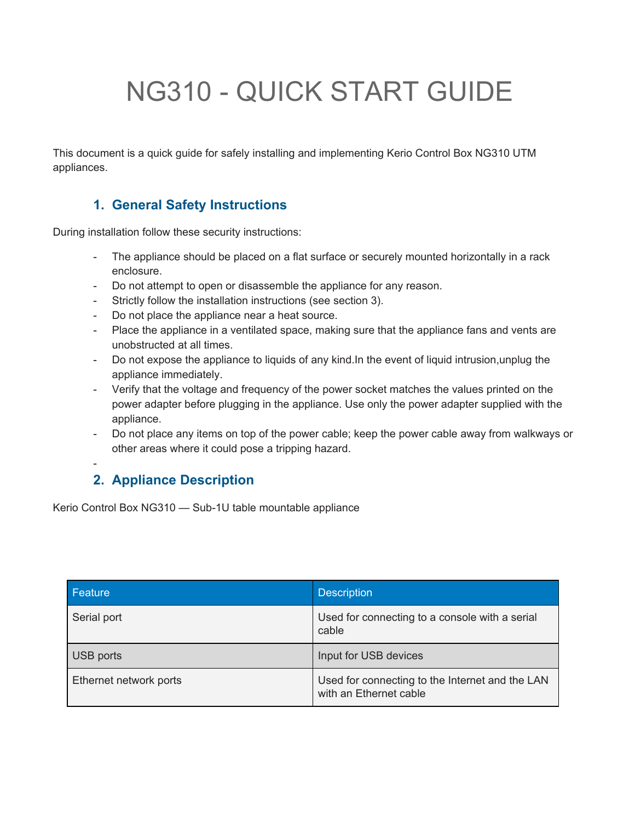# NG310 - QUICK START GUIDE

This document is a quick guide for safely installing and implementing Kerio Control Box NG310 UTM appliances.

## **1. General Safety Instructions**

During installation follow these security instructions:

- The appliance should be placed on a flat surface or securely mounted horizontally in a rack enclosure.
- Do not attempt to open or disassemble the appliance for any reason.
- Strictly follow the installation instructions (see section 3).
- Do not place the appliance near a heat source.
- Place the appliance in a ventilated space, making sure that the appliance fans and vents are unobstructed at all times.
- Do not expose the appliance to liquids of any kind.In the event of liquid intrusion,unplug the appliance immediately.
- Verify that the voltage and frequency of the power socket matches the values printed on the power adapter before plugging in the appliance. Use only the power adapter supplied with the appliance.
- Do not place any items on top of the power cable; keep the power cable away from walkways or other areas where it could pose a tripping hazard.

## **2. Appliance Description**

-

Kerio Control Box NG310 — Sub-1U table mountable appliance

| Feature                | <b>Description</b>                                                        |
|------------------------|---------------------------------------------------------------------------|
| Serial port            | Used for connecting to a console with a serial<br>cable                   |
| USB ports              | Input for USB devices                                                     |
| Ethernet network ports | Used for connecting to the Internet and the LAN<br>with an Ethernet cable |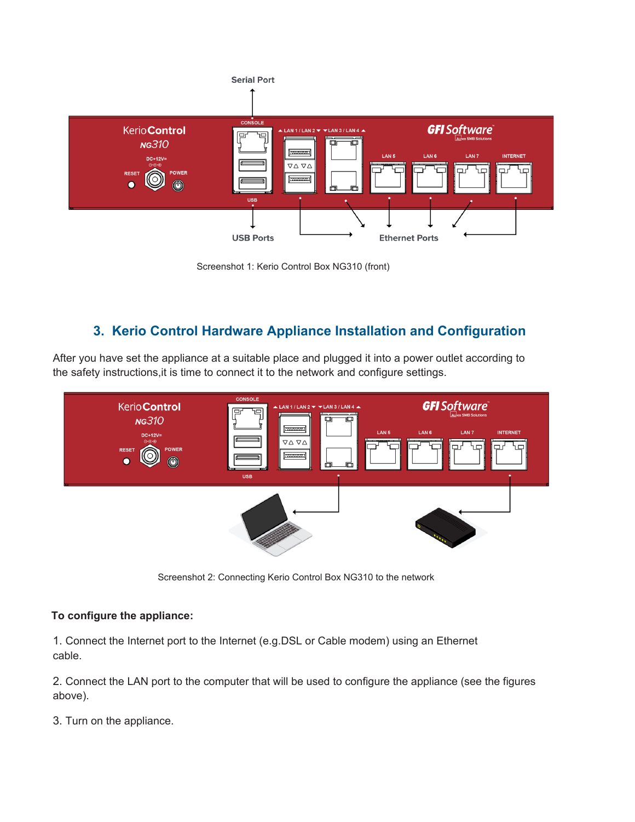

Screenshot 1: Kerio Control Box NG310 (front)

## **3. Kerio Control Hardware Appliance Installation and Configuration**

After you have set the appliance at a suitable place and plugged it into a power outlet according to the safety instructions,it is time to connect it to the network and configure settings.



Screenshot 2: Connecting Kerio Control Box NG310 to the network

#### **To configure the appliance:**

1. Connect the Internet port to the Internet (e.g.DSL or Cable modem) using an Ethernet cable.

2. Connect the LAN port to the computer that will be used to configure the appliance (see the figures above).

3. Turn on the appliance.